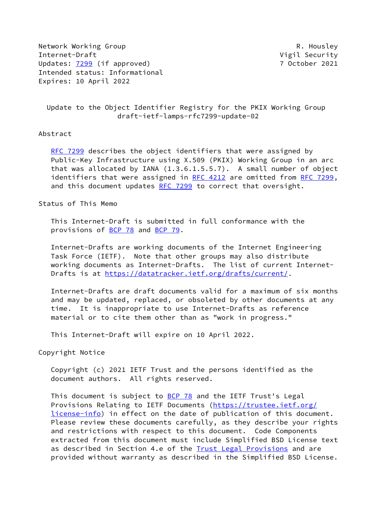Network Working Group **R. Housley** Internet-Draft **Vigil Security** Updates: [7299](https://datatracker.ietf.org/doc/pdf/rfc7299) (if approved) 7 October 2021 Intended status: Informational Expires: 10 April 2022

 Update to the Object Identifier Registry for the PKIX Working Group draft-ietf-lamps-rfc7299-update-02

## Abstract

[RFC 7299](https://datatracker.ietf.org/doc/pdf/rfc7299) describes the object identifiers that were assigned by Public-Key Infrastructure using X.509 (PKIX) Working Group in an arc that was allocated by IANA (1.3.6.1.5.5.7). A small number of object identifiers that were assigned in [RFC 4212](https://datatracker.ietf.org/doc/pdf/rfc4212) are omitted from [RFC 7299,](https://datatracker.ietf.org/doc/pdf/rfc7299) and this document updates [RFC 7299](https://datatracker.ietf.org/doc/pdf/rfc7299) to correct that oversight.

Status of This Memo

 This Internet-Draft is submitted in full conformance with the provisions of [BCP 78](https://datatracker.ietf.org/doc/pdf/bcp78) and [BCP 79](https://datatracker.ietf.org/doc/pdf/bcp79).

 Internet-Drafts are working documents of the Internet Engineering Task Force (IETF). Note that other groups may also distribute working documents as Internet-Drafts. The list of current Internet- Drafts is at<https://datatracker.ietf.org/drafts/current/>.

 Internet-Drafts are draft documents valid for a maximum of six months and may be updated, replaced, or obsoleted by other documents at any time. It is inappropriate to use Internet-Drafts as reference material or to cite them other than as "work in progress."

This Internet-Draft will expire on 10 April 2022.

Copyright Notice

 Copyright (c) 2021 IETF Trust and the persons identified as the document authors. All rights reserved.

This document is subject to [BCP 78](https://datatracker.ietf.org/doc/pdf/bcp78) and the IETF Trust's Legal Provisions Relating to IETF Documents ([https://trustee.ietf.org/](https://trustee.ietf.org/license-info) [license-info](https://trustee.ietf.org/license-info)) in effect on the date of publication of this document. Please review these documents carefully, as they describe your rights and restrictions with respect to this document. Code Components extracted from this document must include Simplified BSD License text as described in Section 4.e of the **[Trust Legal Provisions](https://trustee.ietf.org/license-info)** and are provided without warranty as described in the Simplified BSD License.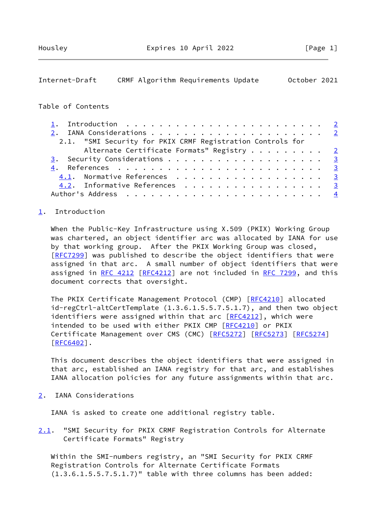## <span id="page-1-1"></span>Internet-Draft CRMF Algorithm Requirements Update October 2021

## Table of Contents

| 2.1. "SMI Security for PKIX CRMF Registration Controls for |  |
|------------------------------------------------------------|--|
| Alternate Certificate Formats" Registry $\frac{2}{3}$      |  |
|                                                            |  |
|                                                            |  |
| 4.1. Normative References 3                                |  |
| 4.2. Informative References 3                              |  |
|                                                            |  |

## <span id="page-1-0"></span>[1](#page-1-0). Introduction

 When the Public-Key Infrastructure using X.509 (PKIX) Working Group was chartered, an object identifier arc was allocated by IANA for use by that working group. After the PKIX Working Group was closed, [\[RFC7299](https://datatracker.ietf.org/doc/pdf/rfc7299)] was published to describe the object identifiers that were assigned in that arc. A small number of object identifiers that were assigned in [RFC 4212 \[RFC4212](https://datatracker.ietf.org/doc/pdf/rfc4212)] are not included in [RFC 7299,](https://datatracker.ietf.org/doc/pdf/rfc7299) and this document corrects that oversight.

The PKIX Certificate Management Protocol (CMP) [\[RFC4210](https://datatracker.ietf.org/doc/pdf/rfc4210)] allocated id-regCtrl-altCertTemplate (1.3.6.1.5.5.7.5.1.7), and then two object identifiers were assigned within that arc [[RFC4212](https://datatracker.ietf.org/doc/pdf/rfc4212)], which were intended to be used with either PKIX CMP [\[RFC4210](https://datatracker.ietf.org/doc/pdf/rfc4210)] or PKIX Certificate Management over CMS (CMC) [[RFC5272](https://datatracker.ietf.org/doc/pdf/rfc5272)] [\[RFC5273](https://datatracker.ietf.org/doc/pdf/rfc5273)] [[RFC5274](https://datatracker.ietf.org/doc/pdf/rfc5274)] [\[RFC6402](https://datatracker.ietf.org/doc/pdf/rfc6402)].

 This document describes the object identifiers that were assigned in that arc, established an IANA registry for that arc, and establishes IANA allocation policies for any future assignments within that arc.

<span id="page-1-2"></span>[2](#page-1-2). IANA Considerations

IANA is asked to create one additional registry table.

<span id="page-1-3"></span>[2.1](#page-1-3). "SMI Security for PKIX CRMF Registration Controls for Alternate Certificate Formats" Registry

 Within the SMI-numbers registry, an "SMI Security for PKIX CRMF Registration Controls for Alternate Certificate Formats (1.3.6.1.5.5.7.5.1.7)" table with three columns has been added: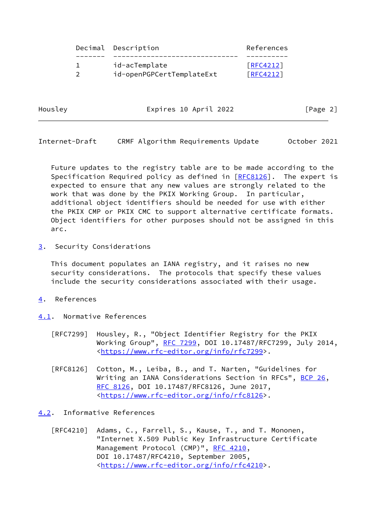|  | Decimal Description       | References |
|--|---------------------------|------------|
|  |                           |            |
|  | id-acTemplate             | [RFC4212]  |
|  | id-openPGPCertTemplateExt | [RFC4212]  |
|  |                           |            |

Housley **Expires 10 April 2022** [Page 2]

<span id="page-2-1"></span>Internet-Draft CRMF Algorithm Requirements Update October 2021

 Future updates to the registry table are to be made according to the Specification Required policy as defined in [\[RFC8126](https://datatracker.ietf.org/doc/pdf/rfc8126)]. The expert is expected to ensure that any new values are strongly related to the work that was done by the PKIX Working Group. In particular, additional object identifiers should be needed for use with either the PKIX CMP or PKIX CMC to support alternative certificate formats. Object identifiers for other purposes should not be assigned in this arc.

<span id="page-2-0"></span>[3](#page-2-0). Security Considerations

 This document populates an IANA registry, and it raises no new security considerations. The protocols that specify these values include the security considerations associated with their usage.

- <span id="page-2-2"></span>[4](#page-2-2). References
- <span id="page-2-3"></span>[4.1](#page-2-3). Normative References
	- [RFC7299] Housley, R., "Object Identifier Registry for the PKIX Working Group", [RFC 7299,](https://datatracker.ietf.org/doc/pdf/rfc7299) DOI 10.17487/RFC7299, July 2014, <[https://www.rfc-editor.org/info/rfc7299>](https://www.rfc-editor.org/info/rfc7299).
	- [RFC8126] Cotton, M., Leiba, B., and T. Narten, "Guidelines for Writing an IANA Considerations Section in RFCs", [BCP 26](https://datatracker.ietf.org/doc/pdf/bcp26), [RFC 8126,](https://datatracker.ietf.org/doc/pdf/rfc8126) DOI 10.17487/RFC8126, June 2017, <[https://www.rfc-editor.org/info/rfc8126>](https://www.rfc-editor.org/info/rfc8126).

<span id="page-2-4"></span>[4.2](#page-2-4). Informative References

 [RFC4210] Adams, C., Farrell, S., Kause, T., and T. Mononen, "Internet X.509 Public Key Infrastructure Certificate Management Protocol (CMP)", [RFC 4210,](https://datatracker.ietf.org/doc/pdf/rfc4210) DOI 10.17487/RFC4210, September 2005, <[https://www.rfc-editor.org/info/rfc4210>](https://www.rfc-editor.org/info/rfc4210).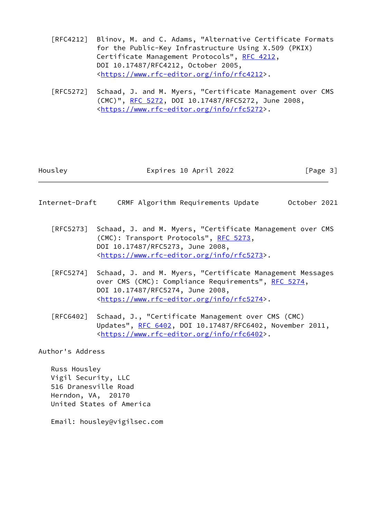- [RFC4212] Blinov, M. and C. Adams, "Alternative Certificate Formats for the Public-Key Infrastructure Using X.509 (PKIX) Certificate Management Protocols", [RFC 4212](https://datatracker.ietf.org/doc/pdf/rfc4212), DOI 10.17487/RFC4212, October 2005, <[https://www.rfc-editor.org/info/rfc4212>](https://www.rfc-editor.org/info/rfc4212).
- [RFC5272] Schaad, J. and M. Myers, "Certificate Management over CMS (CMC)", [RFC 5272,](https://datatracker.ietf.org/doc/pdf/rfc5272) DOI 10.17487/RFC5272, June 2008, <[https://www.rfc-editor.org/info/rfc5272>](https://www.rfc-editor.org/info/rfc5272).

Housley **Expires 10 April 2022** [Page 3]

- <span id="page-3-0"></span>Internet-Draft CRMF Algorithm Requirements Update October 2021
	- [RFC5273] Schaad, J. and M. Myers, "Certificate Management over CMS (CMC): Transport Protocols", [RFC 5273](https://datatracker.ietf.org/doc/pdf/rfc5273), DOI 10.17487/RFC5273, June 2008, <[https://www.rfc-editor.org/info/rfc5273>](https://www.rfc-editor.org/info/rfc5273).
	- [RFC5274] Schaad, J. and M. Myers, "Certificate Management Messages over CMS (CMC): Compliance Requirements", [RFC 5274](https://datatracker.ietf.org/doc/pdf/rfc5274), DOI 10.17487/RFC5274, June 2008, <[https://www.rfc-editor.org/info/rfc5274>](https://www.rfc-editor.org/info/rfc5274).
	- [RFC6402] Schaad, J., "Certificate Management over CMS (CMC) Updates", [RFC 6402](https://datatracker.ietf.org/doc/pdf/rfc6402), DOI 10.17487/RFC6402, November 2011, <[https://www.rfc-editor.org/info/rfc6402>](https://www.rfc-editor.org/info/rfc6402).

Author's Address

 Russ Housley Vigil Security, LLC 516 Dranesville Road Herndon, VA, 20170 United States of America

Email: housley@vigilsec.com